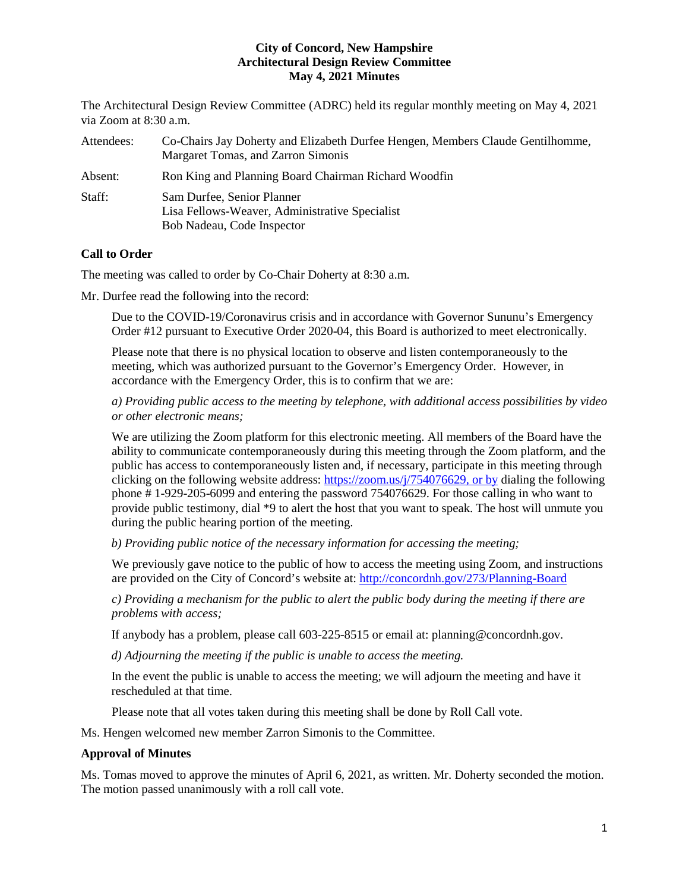The Architectural Design Review Committee (ADRC) held its regular monthly meeting on May 4, 2021 via Zoom at 8:30 a.m.

| Attendees: | Co-Chairs Jay Doherty and Elizabeth Durfee Hengen, Members Claude Gentilhomme,<br>Margaret Tomas, and Zarron Simonis |
|------------|----------------------------------------------------------------------------------------------------------------------|
| Absent:    | Ron King and Planning Board Chairman Richard Woodfin                                                                 |
| Staff:     | Sam Durfee, Senior Planner<br>Lisa Fellows-Weaver, Administrative Specialist<br>Bob Nadeau, Code Inspector           |

# **Call to Order**

The meeting was called to order by Co-Chair Doherty at 8:30 a.m.

Mr. Durfee read the following into the record:

Due to the COVID-19/Coronavirus crisis and in accordance with Governor Sununu's Emergency Order #12 pursuant to Executive Order 2020-04, this Board is authorized to meet electronically.

Please note that there is no physical location to observe and listen contemporaneously to the meeting, which was authorized pursuant to the Governor's Emergency Order. However, in accordance with the Emergency Order, this is to confirm that we are:

*a) Providing public access to the meeting by telephone, with additional access possibilities by video or other electronic means;* 

We are utilizing the Zoom platform for this electronic meeting. All members of the Board have the ability to communicate contemporaneously during this meeting through the Zoom platform, and the public has access to contemporaneously listen and, if necessary, participate in this meeting through clicking on the following website address: [https://zoom.us/j/754076629,](https://zoom.us/j/754076629) or by dialing the following phone # 1-929-205-6099 and entering the password 754076629. For those calling in who want to provide public testimony, dial \*9 to alert the host that you want to speak. The host will unmute you during the public hearing portion of the meeting.

*b) Providing public notice of the necessary information for accessing the meeting;*

We previously gave notice to the public of how to access the meeting using Zoom, and instructions are provided on the City of Concord's website at: <http://concordnh.gov/273/Planning-Board>

*c) Providing a mechanism for the public to alert the public body during the meeting if there are problems with access;* 

If anybody has a problem, please call 603-225-8515 or email at: planning@concordnh.gov.

*d) Adjourning the meeting if the public is unable to access the meeting.*

In the event the public is unable to access the meeting; we will adjourn the meeting and have it rescheduled at that time.

Please note that all votes taken during this meeting shall be done by Roll Call vote.

Ms. Hengen welcomed new member Zarron Simonis to the Committee.

## **Approval of Minutes**

Ms. Tomas moved to approve the minutes of April 6, 2021, as written. Mr. Doherty seconded the motion. The motion passed unanimously with a roll call vote.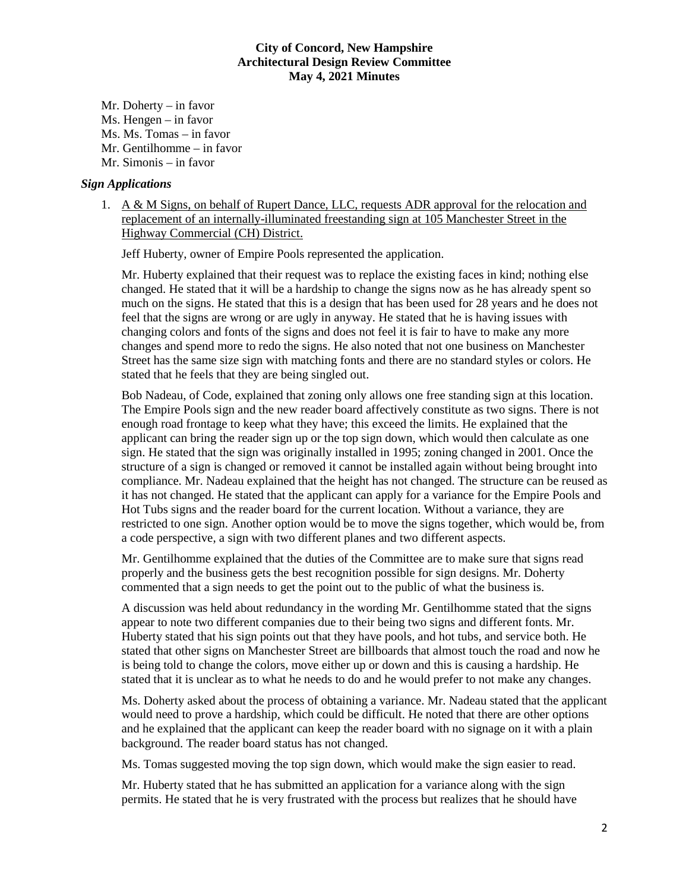Mr. Doherty – in favor Ms. Hengen – in favor Ms. Ms. Tomas – in favor Mr. Gentilhomme – in favor Mr. Simonis – in favor

#### *Sign Applications*

1. A & M Signs, on behalf of Rupert Dance, LLC, requests ADR approval for the relocation and replacement of an internally-illuminated freestanding sign at 105 Manchester Street in the Highway Commercial (CH) District.

Jeff Huberty, owner of Empire Pools represented the application.

Mr. Huberty explained that their request was to replace the existing faces in kind; nothing else changed. He stated that it will be a hardship to change the signs now as he has already spent so much on the signs. He stated that this is a design that has been used for 28 years and he does not feel that the signs are wrong or are ugly in anyway. He stated that he is having issues with changing colors and fonts of the signs and does not feel it is fair to have to make any more changes and spend more to redo the signs. He also noted that not one business on Manchester Street has the same size sign with matching fonts and there are no standard styles or colors. He stated that he feels that they are being singled out.

Bob Nadeau, of Code, explained that zoning only allows one free standing sign at this location. The Empire Pools sign and the new reader board affectively constitute as two signs. There is not enough road frontage to keep what they have; this exceed the limits. He explained that the applicant can bring the reader sign up or the top sign down, which would then calculate as one sign. He stated that the sign was originally installed in 1995; zoning changed in 2001. Once the structure of a sign is changed or removed it cannot be installed again without being brought into compliance. Mr. Nadeau explained that the height has not changed. The structure can be reused as it has not changed. He stated that the applicant can apply for a variance for the Empire Pools and Hot Tubs signs and the reader board for the current location. Without a variance, they are restricted to one sign. Another option would be to move the signs together, which would be, from a code perspective, a sign with two different planes and two different aspects.

Mr. Gentilhomme explained that the duties of the Committee are to make sure that signs read properly and the business gets the best recognition possible for sign designs. Mr. Doherty commented that a sign needs to get the point out to the public of what the business is.

A discussion was held about redundancy in the wording Mr. Gentilhomme stated that the signs appear to note two different companies due to their being two signs and different fonts. Mr. Huberty stated that his sign points out that they have pools, and hot tubs, and service both. He stated that other signs on Manchester Street are billboards that almost touch the road and now he is being told to change the colors, move either up or down and this is causing a hardship. He stated that it is unclear as to what he needs to do and he would prefer to not make any changes.

Ms. Doherty asked about the process of obtaining a variance. Mr. Nadeau stated that the applicant would need to prove a hardship, which could be difficult. He noted that there are other options and he explained that the applicant can keep the reader board with no signage on it with a plain background. The reader board status has not changed.

Ms. Tomas suggested moving the top sign down, which would make the sign easier to read.

Mr. Huberty stated that he has submitted an application for a variance along with the sign permits. He stated that he is very frustrated with the process but realizes that he should have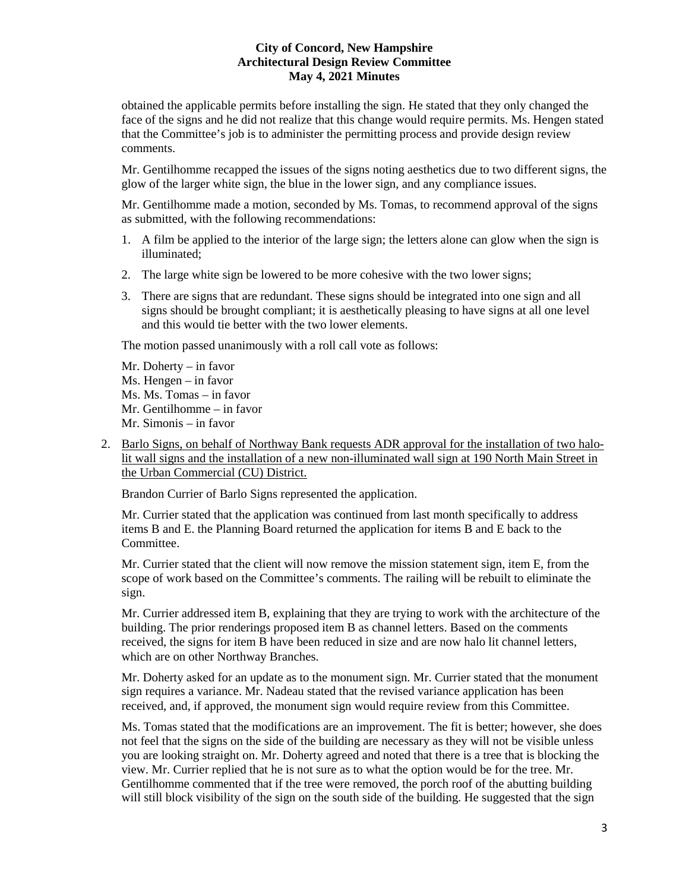obtained the applicable permits before installing the sign. He stated that they only changed the face of the signs and he did not realize that this change would require permits. Ms. Hengen stated that the Committee's job is to administer the permitting process and provide design review comments.

Mr. Gentilhomme recapped the issues of the signs noting aesthetics due to two different signs, the glow of the larger white sign, the blue in the lower sign, and any compliance issues.

Mr. Gentilhomme made a motion, seconded by Ms. Tomas, to recommend approval of the signs as submitted, with the following recommendations:

- 1. A film be applied to the interior of the large sign; the letters alone can glow when the sign is illuminated;
- 2. The large white sign be lowered to be more cohesive with the two lower signs;
- 3. There are signs that are redundant. These signs should be integrated into one sign and all signs should be brought compliant; it is aesthetically pleasing to have signs at all one level and this would tie better with the two lower elements.

The motion passed unanimously with a roll call vote as follows:

- Mr. Doherty in favor Ms. Hengen – in favor Ms. Ms. Tomas – in favor Mr. Gentilhomme – in favor Mr. Simonis – in favor
- 2. Barlo Signs, on behalf of Northway Bank requests ADR approval for the installation of two halolit wall signs and the installation of a new non-illuminated wall sign at 190 North Main Street in the Urban Commercial (CU) District.

Brandon Currier of Barlo Signs represented the application.

Mr. Currier stated that the application was continued from last month specifically to address items B and E. the Planning Board returned the application for items B and E back to the Committee.

Mr. Currier stated that the client will now remove the mission statement sign, item E, from the scope of work based on the Committee's comments. The railing will be rebuilt to eliminate the sign.

Mr. Currier addressed item B, explaining that they are trying to work with the architecture of the building. The prior renderings proposed item B as channel letters. Based on the comments received, the signs for item B have been reduced in size and are now halo lit channel letters, which are on other Northway Branches.

Mr. Doherty asked for an update as to the monument sign. Mr. Currier stated that the monument sign requires a variance. Mr. Nadeau stated that the revised variance application has been received, and, if approved, the monument sign would require review from this Committee.

Ms. Tomas stated that the modifications are an improvement. The fit is better; however, she does not feel that the signs on the side of the building are necessary as they will not be visible unless you are looking straight on. Mr. Doherty agreed and noted that there is a tree that is blocking the view. Mr. Currier replied that he is not sure as to what the option would be for the tree. Mr. Gentilhomme commented that if the tree were removed, the porch roof of the abutting building will still block visibility of the sign on the south side of the building. He suggested that the sign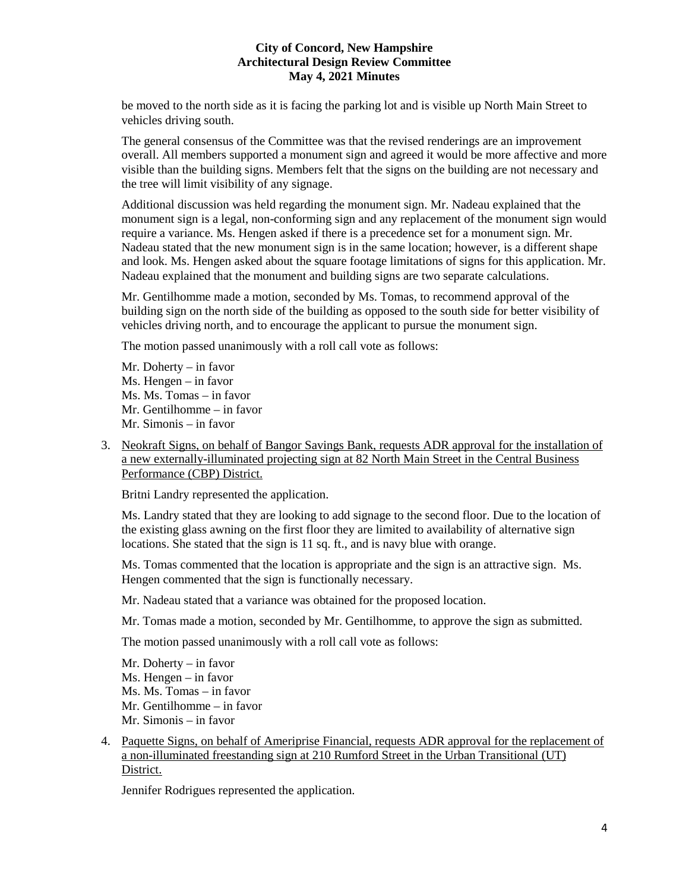be moved to the north side as it is facing the parking lot and is visible up North Main Street to vehicles driving south.

The general consensus of the Committee was that the revised renderings are an improvement overall. All members supported a monument sign and agreed it would be more affective and more visible than the building signs. Members felt that the signs on the building are not necessary and the tree will limit visibility of any signage.

Additional discussion was held regarding the monument sign. Mr. Nadeau explained that the monument sign is a legal, non-conforming sign and any replacement of the monument sign would require a variance. Ms. Hengen asked if there is a precedence set for a monument sign. Mr. Nadeau stated that the new monument sign is in the same location; however, is a different shape and look. Ms. Hengen asked about the square footage limitations of signs for this application. Mr. Nadeau explained that the monument and building signs are two separate calculations.

Mr. Gentilhomme made a motion, seconded by Ms. Tomas, to recommend approval of the building sign on the north side of the building as opposed to the south side for better visibility of vehicles driving north, and to encourage the applicant to pursue the monument sign.

The motion passed unanimously with a roll call vote as follows:

Mr. Doherty – in favor Ms. Hengen – in favor Ms. Ms. Tomas – in favor Mr. Gentilhomme – in favor Mr. Simonis – in favor

3. Neokraft Signs, on behalf of Bangor Savings Bank, requests ADR approval for the installation of a new externally-illuminated projecting sign at 82 North Main Street in the Central Business Performance (CBP) District.

Britni Landry represented the application.

Ms. Landry stated that they are looking to add signage to the second floor. Due to the location of the existing glass awning on the first floor they are limited to availability of alternative sign locations. She stated that the sign is 11 sq. ft., and is navy blue with orange.

Ms. Tomas commented that the location is appropriate and the sign is an attractive sign. Ms. Hengen commented that the sign is functionally necessary.

Mr. Nadeau stated that a variance was obtained for the proposed location.

Mr. Tomas made a motion, seconded by Mr. Gentilhomme, to approve the sign as submitted.

The motion passed unanimously with a roll call vote as follows:

Mr. Doherty – in favor Ms. Hengen – in favor Ms. Ms. Tomas – in favor Mr. Gentilhomme – in favor Mr. Simonis – in favor

4. Paquette Signs, on behalf of Ameriprise Financial, requests ADR approval for the replacement of a non-illuminated freestanding sign at 210 Rumford Street in the Urban Transitional (UT) District.

Jennifer Rodrigues represented the application.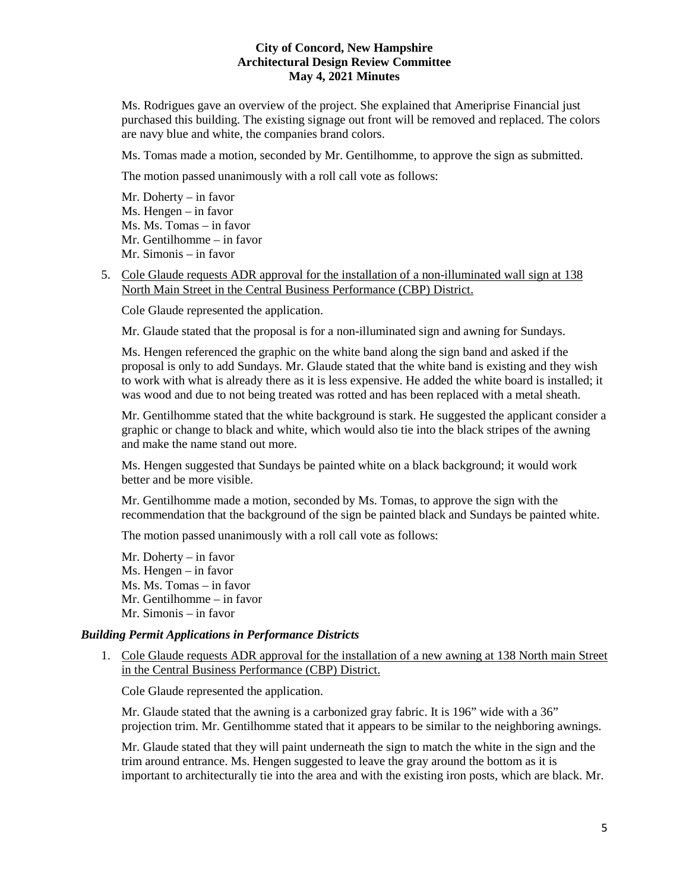Ms. Rodrigues gave an overview of the project. She explained that Ameriprise Financial just purchased this building. The existing signage out front will be removed and replaced. The colors are navy blue and white, the companies brand colors.

Ms. Tomas made a motion, seconded by Mr. Gentilhomme, to approve the sign as submitted.

The motion passed unanimously with a roll call vote as follows:

Mr. Doherty – in favor Ms. Hengen – in favor Ms. Ms. Tomas – in favor Mr. Gentilhomme – in favor Mr. Simonis – in favor

5. Cole Glaude requests ADR approval for the installation of a non-illuminated wall sign at 138 North Main Street in the Central Business Performance (CBP) District.

Cole Glaude represented the application.

Mr. Glaude stated that the proposal is for a non-illuminated sign and awning for Sundays.

Ms. Hengen referenced the graphic on the white band along the sign band and asked if the proposal is only to add Sundays. Mr. Glaude stated that the white band is existing and they wish to work with what is already there as it is less expensive. He added the white board is installed; it was wood and due to not being treated was rotted and has been replaced with a metal sheath.

Mr. Gentilhomme stated that the white background is stark. He suggested the applicant consider a graphic or change to black and white, which would also tie into the black stripes of the awning and make the name stand out more.

Ms. Hengen suggested that Sundays be painted white on a black background; it would work better and be more visible.

Mr. Gentilhomme made a motion, seconded by Ms. Tomas, to approve the sign with the recommendation that the background of the sign be painted black and Sundays be painted white.

The motion passed unanimously with a roll call vote as follows:

Mr. Doherty – in favor Ms. Hengen – in favor Ms. Ms. Tomas – in favor Mr. Gentilhomme – in favor Mr. Simonis – in favor

## *Building Permit Applications in Performance Districts*

1. Cole Glaude requests ADR approval for the installation of a new awning at 138 North main Street in the Central Business Performance (CBP) District.

Cole Glaude represented the application.

Mr. Glaude stated that the awning is a carbonized gray fabric. It is 196" wide with a 36" projection trim. Mr. Gentilhomme stated that it appears to be similar to the neighboring awnings.

Mr. Glaude stated that they will paint underneath the sign to match the white in the sign and the trim around entrance. Ms. Hengen suggested to leave the gray around the bottom as it is important to architecturally tie into the area and with the existing iron posts, which are black. Mr.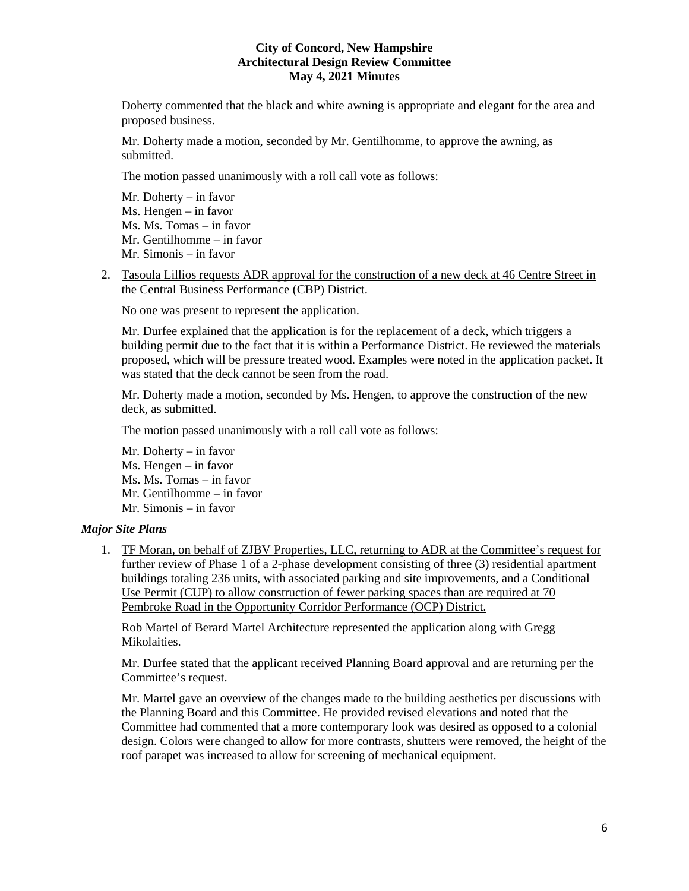Doherty commented that the black and white awning is appropriate and elegant for the area and proposed business.

Mr. Doherty made a motion, seconded by Mr. Gentilhomme, to approve the awning, as submitted.

The motion passed unanimously with a roll call vote as follows:

Mr. Doherty – in favor Ms. Hengen – in favor Ms. Ms. Tomas – in favor Mr. Gentilhomme – in favor Mr. Simonis – in favor

2. Tasoula Lillios requests ADR approval for the construction of a new deck at 46 Centre Street in the Central Business Performance (CBP) District.

No one was present to represent the application.

Mr. Durfee explained that the application is for the replacement of a deck, which triggers a building permit due to the fact that it is within a Performance District. He reviewed the materials proposed, which will be pressure treated wood. Examples were noted in the application packet. It was stated that the deck cannot be seen from the road.

Mr. Doherty made a motion, seconded by Ms. Hengen, to approve the construction of the new deck, as submitted.

The motion passed unanimously with a roll call vote as follows:

Mr. Doherty – in favor Ms. Hengen – in favor Ms. Ms. Tomas – in favor Mr. Gentilhomme – in favor Mr. Simonis – in favor

## *Major Site Plans*

1. TF Moran, on behalf of ZJBV Properties, LLC, returning to ADR at the Committee's request for further review of Phase 1 of a 2-phase development consisting of three (3) residential apartment buildings totaling 236 units, with associated parking and site improvements, and a Conditional Use Permit (CUP) to allow construction of fewer parking spaces than are required at 70 Pembroke Road in the Opportunity Corridor Performance (OCP) District.

Rob Martel of Berard Martel Architecture represented the application along with Gregg Mikolaities.

Mr. Durfee stated that the applicant received Planning Board approval and are returning per the Committee's request.

Mr. Martel gave an overview of the changes made to the building aesthetics per discussions with the Planning Board and this Committee. He provided revised elevations and noted that the Committee had commented that a more contemporary look was desired as opposed to a colonial design. Colors were changed to allow for more contrasts, shutters were removed, the height of the roof parapet was increased to allow for screening of mechanical equipment.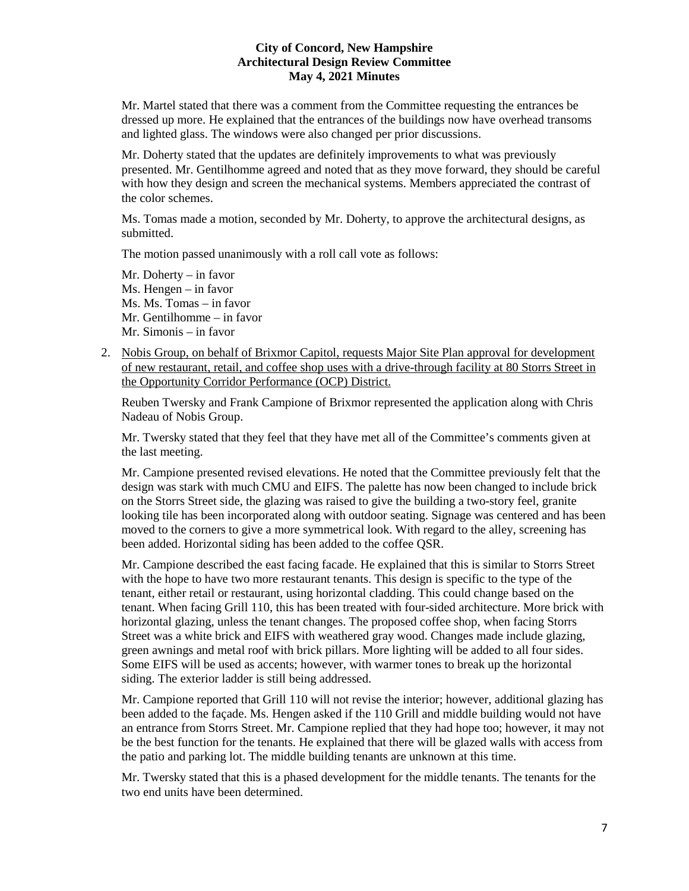Mr. Martel stated that there was a comment from the Committee requesting the entrances be dressed up more. He explained that the entrances of the buildings now have overhead transoms and lighted glass. The windows were also changed per prior discussions.

Mr. Doherty stated that the updates are definitely improvements to what was previously presented. Mr. Gentilhomme agreed and noted that as they move forward, they should be careful with how they design and screen the mechanical systems. Members appreciated the contrast of the color schemes.

Ms. Tomas made a motion, seconded by Mr. Doherty, to approve the architectural designs, as submitted.

The motion passed unanimously with a roll call vote as follows:

Mr. Doherty – in favor Ms. Hengen – in favor Ms. Ms. Tomas – in favor Mr. Gentilhomme – in favor Mr. Simonis – in favor

2. Nobis Group, on behalf of Brixmor Capitol, requests Major Site Plan approval for development of new restaurant, retail, and coffee shop uses with a drive-through facility at 80 Storrs Street in the Opportunity Corridor Performance (OCP) District.

Reuben Twersky and Frank Campione of Brixmor represented the application along with Chris Nadeau of Nobis Group.

Mr. Twersky stated that they feel that they have met all of the Committee's comments given at the last meeting.

Mr. Campione presented revised elevations. He noted that the Committee previously felt that the design was stark with much CMU and EIFS. The palette has now been changed to include brick on the Storrs Street side, the glazing was raised to give the building a two-story feel, granite looking tile has been incorporated along with outdoor seating. Signage was centered and has been moved to the corners to give a more symmetrical look. With regard to the alley, screening has been added. Horizontal siding has been added to the coffee QSR.

Mr. Campione described the east facing facade. He explained that this is similar to Storrs Street with the hope to have two more restaurant tenants. This design is specific to the type of the tenant, either retail or restaurant, using horizontal cladding. This could change based on the tenant. When facing Grill 110, this has been treated with four-sided architecture. More brick with horizontal glazing, unless the tenant changes. The proposed coffee shop, when facing Storrs Street was a white brick and EIFS with weathered gray wood. Changes made include glazing, green awnings and metal roof with brick pillars. More lighting will be added to all four sides. Some EIFS will be used as accents; however, with warmer tones to break up the horizontal siding. The exterior ladder is still being addressed.

Mr. Campione reported that Grill 110 will not revise the interior; however, additional glazing has been added to the façade. Ms. Hengen asked if the 110 Grill and middle building would not have an entrance from Storrs Street. Mr. Campione replied that they had hope too; however, it may not be the best function for the tenants. He explained that there will be glazed walls with access from the patio and parking lot. The middle building tenants are unknown at this time.

Mr. Twersky stated that this is a phased development for the middle tenants. The tenants for the two end units have been determined.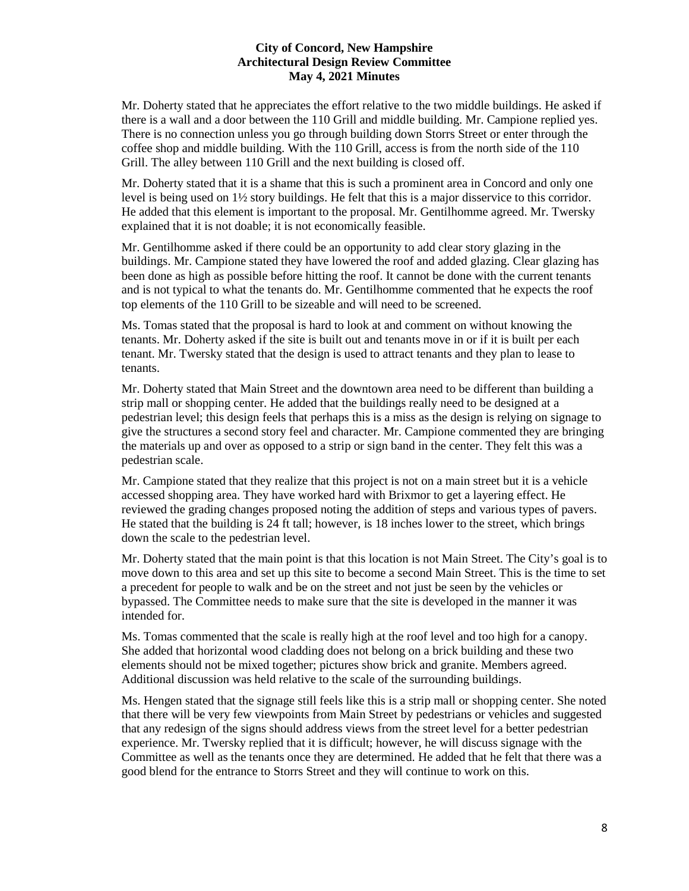Mr. Doherty stated that he appreciates the effort relative to the two middle buildings. He asked if there is a wall and a door between the 110 Grill and middle building. Mr. Campione replied yes. There is no connection unless you go through building down Storrs Street or enter through the coffee shop and middle building. With the 110 Grill, access is from the north side of the 110 Grill. The alley between 110 Grill and the next building is closed off.

Mr. Doherty stated that it is a shame that this is such a prominent area in Concord and only one level is being used on 1½ story buildings. He felt that this is a major disservice to this corridor. He added that this element is important to the proposal. Mr. Gentilhomme agreed. Mr. Twersky explained that it is not doable; it is not economically feasible.

Mr. Gentilhomme asked if there could be an opportunity to add clear story glazing in the buildings. Mr. Campione stated they have lowered the roof and added glazing. Clear glazing has been done as high as possible before hitting the roof. It cannot be done with the current tenants and is not typical to what the tenants do. Mr. Gentilhomme commented that he expects the roof top elements of the 110 Grill to be sizeable and will need to be screened.

Ms. Tomas stated that the proposal is hard to look at and comment on without knowing the tenants. Mr. Doherty asked if the site is built out and tenants move in or if it is built per each tenant. Mr. Twersky stated that the design is used to attract tenants and they plan to lease to tenants.

Mr. Doherty stated that Main Street and the downtown area need to be different than building a strip mall or shopping center. He added that the buildings really need to be designed at a pedestrian level; this design feels that perhaps this is a miss as the design is relying on signage to give the structures a second story feel and character. Mr. Campione commented they are bringing the materials up and over as opposed to a strip or sign band in the center. They felt this was a pedestrian scale.

Mr. Campione stated that they realize that this project is not on a main street but it is a vehicle accessed shopping area. They have worked hard with Brixmor to get a layering effect. He reviewed the grading changes proposed noting the addition of steps and various types of pavers. He stated that the building is 24 ft tall; however, is 18 inches lower to the street, which brings down the scale to the pedestrian level.

Mr. Doherty stated that the main point is that this location is not Main Street. The City's goal is to move down to this area and set up this site to become a second Main Street. This is the time to set a precedent for people to walk and be on the street and not just be seen by the vehicles or bypassed. The Committee needs to make sure that the site is developed in the manner it was intended for.

Ms. Tomas commented that the scale is really high at the roof level and too high for a canopy. She added that horizontal wood cladding does not belong on a brick building and these two elements should not be mixed together; pictures show brick and granite. Members agreed. Additional discussion was held relative to the scale of the surrounding buildings.

Ms. Hengen stated that the signage still feels like this is a strip mall or shopping center. She noted that there will be very few viewpoints from Main Street by pedestrians or vehicles and suggested that any redesign of the signs should address views from the street level for a better pedestrian experience. Mr. Twersky replied that it is difficult; however, he will discuss signage with the Committee as well as the tenants once they are determined. He added that he felt that there was a good blend for the entrance to Storrs Street and they will continue to work on this.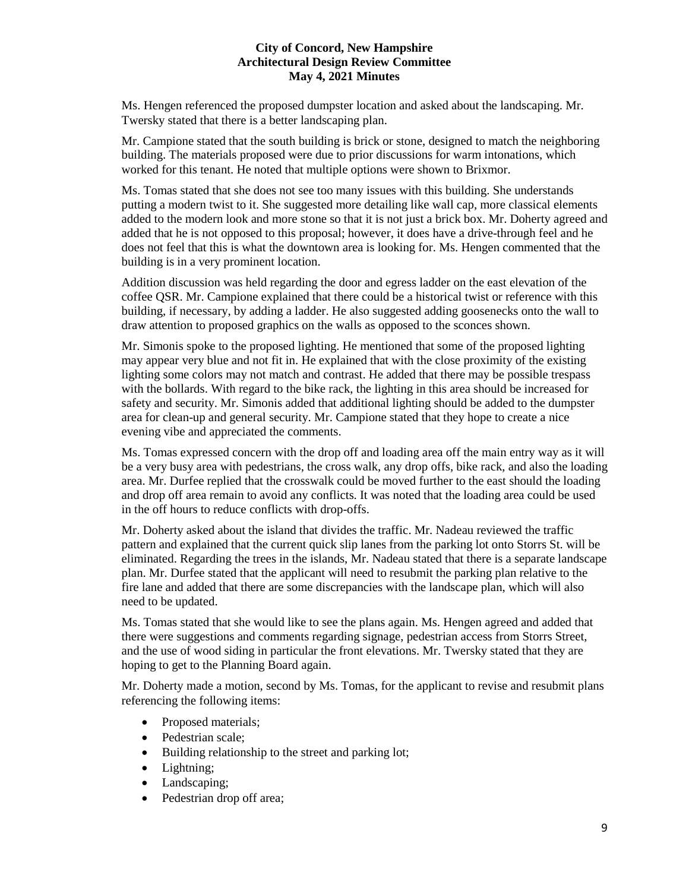Ms. Hengen referenced the proposed dumpster location and asked about the landscaping. Mr. Twersky stated that there is a better landscaping plan.

Mr. Campione stated that the south building is brick or stone, designed to match the neighboring building. The materials proposed were due to prior discussions for warm intonations, which worked for this tenant. He noted that multiple options were shown to Brixmor.

Ms. Tomas stated that she does not see too many issues with this building. She understands putting a modern twist to it. She suggested more detailing like wall cap, more classical elements added to the modern look and more stone so that it is not just a brick box. Mr. Doherty agreed and added that he is not opposed to this proposal; however, it does have a drive-through feel and he does not feel that this is what the downtown area is looking for. Ms. Hengen commented that the building is in a very prominent location.

Addition discussion was held regarding the door and egress ladder on the east elevation of the coffee QSR. Mr. Campione explained that there could be a historical twist or reference with this building, if necessary, by adding a ladder. He also suggested adding goosenecks onto the wall to draw attention to proposed graphics on the walls as opposed to the sconces shown.

Mr. Simonis spoke to the proposed lighting. He mentioned that some of the proposed lighting may appear very blue and not fit in. He explained that with the close proximity of the existing lighting some colors may not match and contrast. He added that there may be possible trespass with the bollards. With regard to the bike rack, the lighting in this area should be increased for safety and security. Mr. Simonis added that additional lighting should be added to the dumpster area for clean-up and general security. Mr. Campione stated that they hope to create a nice evening vibe and appreciated the comments.

Ms. Tomas expressed concern with the drop off and loading area off the main entry way as it will be a very busy area with pedestrians, the cross walk, any drop offs, bike rack, and also the loading area. Mr. Durfee replied that the crosswalk could be moved further to the east should the loading and drop off area remain to avoid any conflicts. It was noted that the loading area could be used in the off hours to reduce conflicts with drop-offs.

Mr. Doherty asked about the island that divides the traffic. Mr. Nadeau reviewed the traffic pattern and explained that the current quick slip lanes from the parking lot onto Storrs St. will be eliminated. Regarding the trees in the islands, Mr. Nadeau stated that there is a separate landscape plan. Mr. Durfee stated that the applicant will need to resubmit the parking plan relative to the fire lane and added that there are some discrepancies with the landscape plan, which will also need to be updated.

Ms. Tomas stated that she would like to see the plans again. Ms. Hengen agreed and added that there were suggestions and comments regarding signage, pedestrian access from Storrs Street, and the use of wood siding in particular the front elevations. Mr. Twersky stated that they are hoping to get to the Planning Board again.

Mr. Doherty made a motion, second by Ms. Tomas, for the applicant to revise and resubmit plans referencing the following items:

- Proposed materials;
- Pedestrian scale;
- Building relationship to the street and parking lot;
- Lightning;
- Landscaping;
- Pedestrian drop off area;